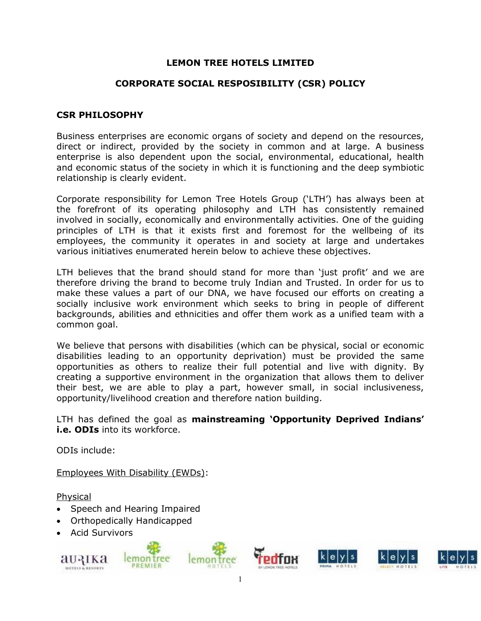### **LEMON TREE HOTELS LIMITED**

#### **CORPORATE SOCIAL RESPOSIBILITY (CSR) POLICY**

#### **CSR PHILOSOPHY**

Business enterprises are economic organs of society and depend on the resources, direct or indirect, provided by the society in common and at large. A business enterprise is also dependent upon the social, environmental, educational, health and economic status of the society in which it is functioning and the deep symbiotic relationship is clearly evident.

Corporate responsibility for Lemon Tree Hotels Group ('LTH') has always been at the forefront of its operating philosophy and LTH has consistently remained involved in socially, economically and environmentally activities. One of the guiding principles of LTH is that it exists first and foremost for the wellbeing of its employees, the community it operates in and society at large and undertakes various initiatives enumerated herein below to achieve these objectives.

LTH believes that the brand should stand for more than 'just profit' and we are therefore driving the brand to become truly Indian and Trusted. In order for us to make these values a part of our DNA, we have focused our efforts on creating a socially inclusive work environment which seeks to bring in people of different backgrounds, abilities and ethnicities and offer them work as a unified team with a common goal.

We believe that persons with disabilities (which can be physical, social or economic disabilities leading to an opportunity deprivation) must be provided the same opportunities as others to realize their full potential and live with dignity. By creating a supportive environment in the organization that allows them to deliver their best, we are able to play a part, however small, in social inclusiveness, opportunity/livelihood creation and therefore nation building.

LTH has defined the goal as **mainstreaming 'Opportunity Deprived Indians' i.e. ODIs** into its workforce.

ODIs include:

Employees With Disability (EWDs):

Physical

- Speech and Hearing Impaired
- Orthopedically Handicapped
- Acid Survivors

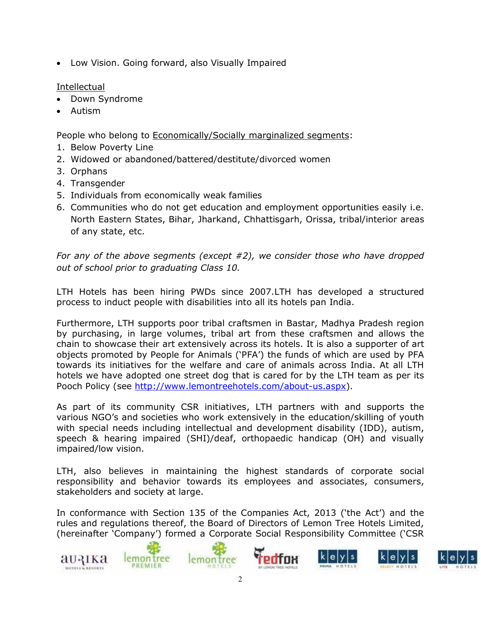Low Vision. Going forward, also Visually Impaired

## Intellectual

- Down Syndrome
- Autism

People who belong to Economically/Socially marginalized segments:

- 1. Below Poverty Line
- 2. Widowed or abandoned/battered/destitute/divorced women
- 3. Orphans
- 4. Transgender
- 5. Individuals from economically weak families
- 6. Communities who do not get education and employment opportunities easily i.e. North Eastern States, Bihar, Jharkand, Chhattisgarh, Orissa, tribal/interior areas of any state, etc.

*For any of the above segments (except #2), we consider those who have dropped out of school prior to graduating Class 10.*

LTH Hotels has been hiring PWDs since 2007.LTH has developed a structured process to induct people with disabilities into all its hotels pan India.

Furthermore, LTH supports poor tribal craftsmen in Bastar, Madhya Pradesh region by purchasing, in large volumes, tribal art from these craftsmen and allows the chain to showcase their art extensively across its hotels. It is also a supporter of art objects promoted by People for Animals ('PFA') the funds of which are used by PFA towards its initiatives for the welfare and care of animals across India. At all LTH hotels we have adopted one street dog that is cared for by the LTH team as per its Pooch Policy (see http://www.lemontreehotels.com/about-us.aspx).

As part of its community CSR initiatives, LTH partners with and supports the various NGO's and societies who work extensively in the education/skilling of youth with special needs including intellectual and development disability (IDD), autism, speech & hearing impaired (SHI)/deaf, orthopaedic handicap (OH) and visually impaired/low vision.

LTH, also believes in maintaining the highest standards of corporate social responsibility and behavior towards its employees and associates, consumers, stakeholders and society at large.

In conformance with Section 135 of the Companies Act, 2013 ('the Act') and the rules and regulations thereof, the Board of Directors of Lemon Tree Hotels Limited, (hereinafter 'Company') formed a Corporate Social Responsibility Committee ('CSR

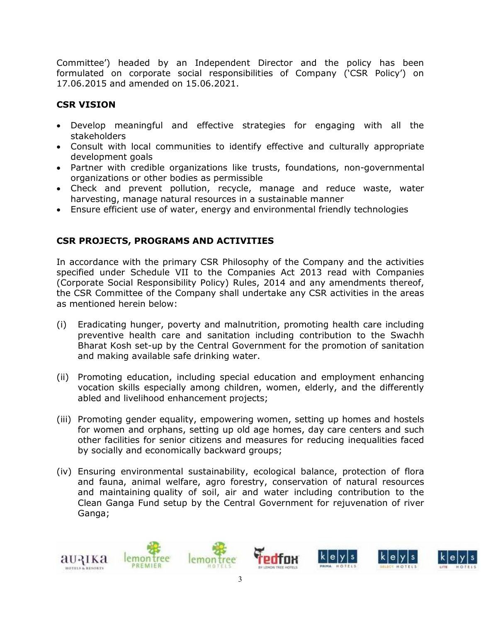Committee') headed by an Independent Director and the policy has been formulated on corporate social responsibilities of Company ('CSR Policy') on 17.06.2015 and amended on 15.06.2021.

# **CSR VISION**

- Develop meaningful and effective strategies for engaging with all the stakeholders
- Consult with local communities to identify effective and culturally appropriate development goals
- Partner with credible organizations like trusts, foundations, non-governmental organizations or other bodies as permissible
- Check and prevent pollution, recycle, manage and reduce waste, water harvesting, manage natural resources in a sustainable manner
- Ensure efficient use of water, energy and environmental friendly technologies

# **CSR PROJECTS, PROGRAMS AND ACTIVITIES**

In accordance with the primary CSR Philosophy of the Company and the activities specified under Schedule VII to the Companies Act 2013 read with Companies (Corporate Social Responsibility Policy) Rules, 2014 and any amendments thereof, the CSR Committee of the Company shall undertake any CSR activities in the areas as mentioned herein below:

- (i) Eradicating hunger, poverty and malnutrition, promoting health care including preventive health care and sanitation including contribution to the Swachh Bharat Kosh set-up by the Central Government for the promotion of sanitation and making available safe drinking water.
- (ii) Promoting education, including special education and employment enhancing vocation skills especially among children, women, elderly, and the differently abled and livelihood enhancement projects;
- (iii) Promoting gender equality, empowering women, setting up homes and hostels for women and orphans, setting up old age homes, day care centers and such other facilities for senior citizens and measures for reducing inequalities faced by socially and economically backward groups;
- (iv) Ensuring environmental sustainability, ecological balance, protection of flora and fauna, animal welfare, agro forestry, conservation of natural resources and maintaining quality of soil, air and water including contribution to the Clean Ganga Fund setup by the Central Government for rejuvenation of river Ganga;

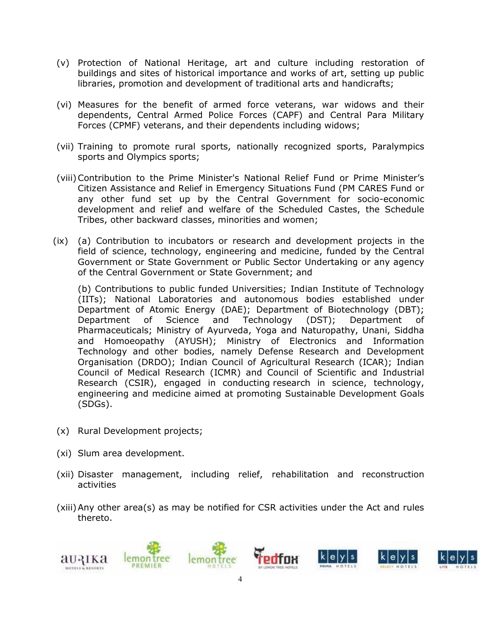- (v) Protection of National Heritage, art and culture including restoration of buildings and sites of historical importance and works of art, setting up public libraries, promotion and development of traditional arts and handicrafts;
- (vi) Measures for the benefit of armed force veterans, war widows and their dependents, Central Armed Police Forces (CAPF) and Central Para Military Forces (CPMF) veterans, and their dependents including widows;
- (vii) Training to promote rural sports, nationally recognized sports, Paralympics sports and Olympics sports;
- (viii)Contribution to the Prime Minister's National Relief Fund or Prime Minister's Citizen Assistance and Relief in Emergency Situations Fund (PM CARES Fund or any other fund set up by the Central Government for socio-economic development and relief and welfare of the Scheduled Castes, the Schedule Tribes, other backward classes, minorities and women;
- (ix) (a) Contribution to incubators or research and development projects in the field of science, technology, engineering and medicine, funded by the Central Government or State Government or Public Sector Undertaking or any agency of the Central Government or State Government; and

(b) Contributions to public funded Universities; Indian Institute of Technology (IITs); National Laboratories and autonomous bodies established under Department of Atomic Energy (DAE); Department of Biotechnology (DBT); Department of Science and Technology (DST); Department of Pharmaceuticals; Ministry of Ayurveda, Yoga and Naturopathy, Unani, Siddha and Homoeopathy (AYUSH); Ministry of Electronics and Information Technology and other bodies, namely Defense Research and Development Organisation (DRDO); Indian Council of Agricultural Research (ICAR); Indian Council of Medical Research (ICMR) and Council of Scientific and Industrial Research (CSIR), engaged in conducting research in science, technology, engineering and medicine aimed at promoting Sustainable Development Goals (SDGs).

- (x) Rural Development projects;
- (xi) Slum area development.
- (xii) Disaster management, including relief, rehabilitation and reconstruction activities
- (xiii)Any other area(s) as may be notified for CSR activities under the Act and rules thereto.

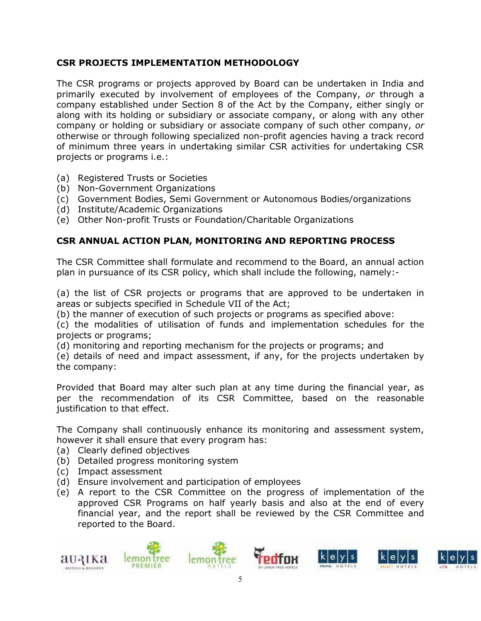# **CSR PROJECTS IMPLEMENTATION METHODOLOGY**

The CSR programs or projects approved by Board can be undertaken in India and primarily executed by involvement of employees of the Company, *or* through a company established under Section 8 of the Act by the Company, either singly or along with its holding or subsidiary or associate company, or along with any other company or holding or subsidiary or associate company of such other company, *or* otherwise or through following specialized non-profit agencies having a track record of minimum three years in undertaking similar CSR activities for undertaking CSR projects or programs i.e.:

- (a) Registered Trusts or Societies
- (b) Non-Government Organizations
- (c) Government Bodies, Semi Government or Autonomous Bodies/organizations
- (d) Institute/Academic Organizations
- (e) Other Non-profit Trusts or Foundation/Charitable Organizations

# **CSR ANNUAL ACTION PLAN, MONITORING AND REPORTING PROCESS**

The CSR Committee shall formulate and recommend to the Board, an annual action plan in pursuance of its CSR policy, which shall include the following, namely:-

(a) the list of CSR projects or programs that are approved to be undertaken in areas or subjects specified in Schedule VII of the Act;

(b) the manner of execution of such projects or programs as specified above:

(c) the modalities of utilisation of funds and implementation schedules for the projects or programs;

(d) monitoring and reporting mechanism for the projects or programs; and

(e) details of need and impact assessment, if any, for the projects undertaken by the company:

Provided that Board may alter such plan at any time during the financial year, as per the recommendation of its CSR Committee, based on the reasonable justification to that effect.

The Company shall continuously enhance its monitoring and assessment system, however it shall ensure that every program has:

- (a) Clearly defined objectives
- (b) Detailed progress monitoring system
- (c) Impact assessment
- (d) Ensure involvement and participation of employees
- (e) A report to the CSR Committee on the progress of implementation of the approved CSR Programs on half yearly basis and also at the end of every financial year, and the report shall be reviewed by the CSR Committee and reported to the Board.